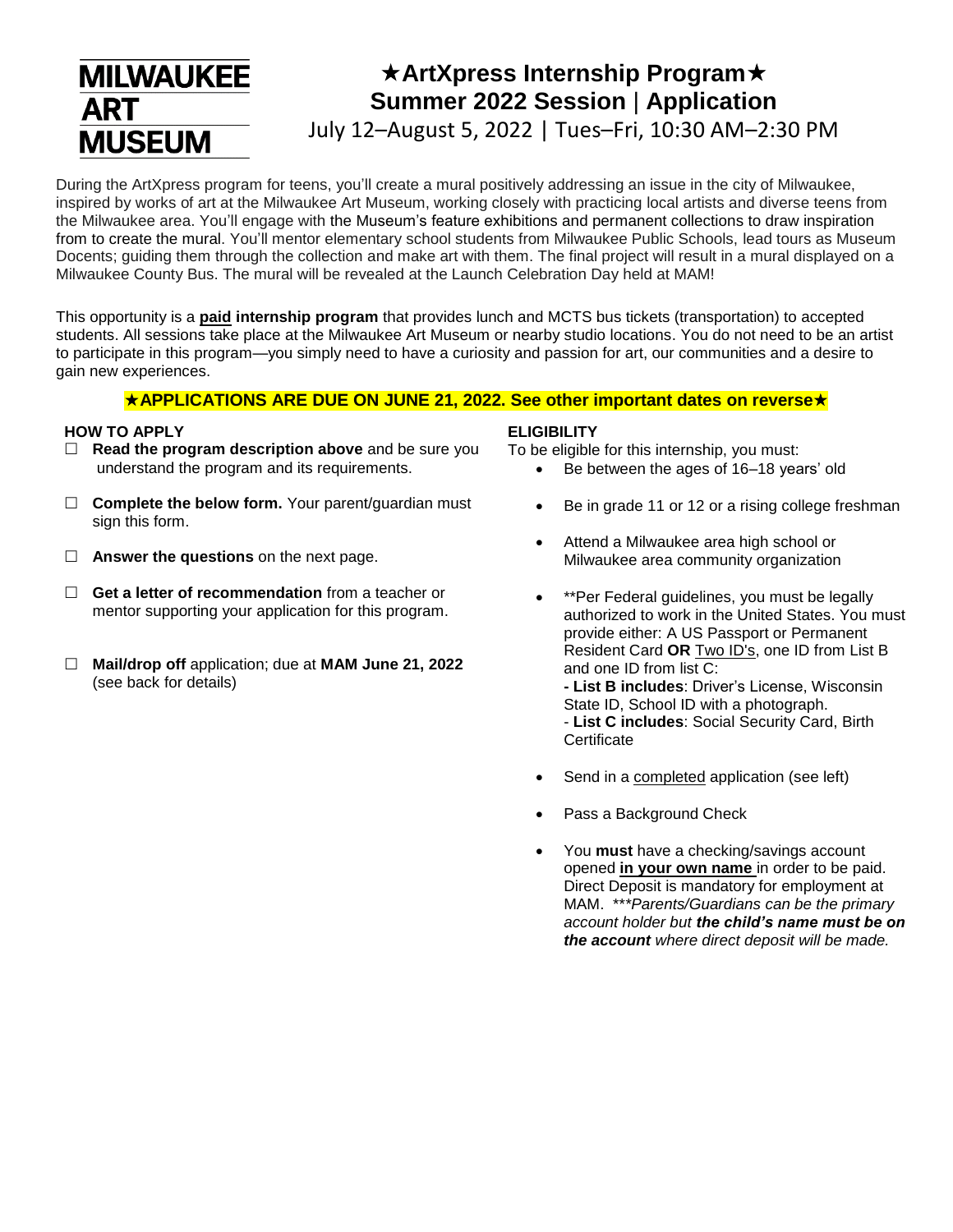# **MILWAUKEE ART MUSEUM**

# **ArtXpress Internship Program Summer 2022 Session** | **Application** July 12–August 5, 2022 | Tues–Fri, 10:30 AM–2:30 PM

During the ArtXpress program for teens, you'll create a mural positively addressing an issue in the city of Milwaukee, inspired by works of art at the Milwaukee Art Museum, working closely with practicing local artists and diverse teens from the Milwaukee area. You'll engage with the Museum's feature exhibitions and permanent collections to draw inspiration from to create the mural. You'll mentor elementary school students from Milwaukee Public Schools, lead tours as Museum Docents; guiding them through the collection and make art with them. The final project will result in a mural displayed on a Milwaukee County Bus. The mural will be revealed at the Launch Celebration Day held at MAM!

This opportunity is a **paid internship program** that provides lunch and MCTS bus tickets (transportation) to accepted students. All sessions take place at the Milwaukee Art Museum or nearby studio locations. You do not need to be an artist to participate in this program—you simply need to have a curiosity and passion for art, our communities and a desire to gain new experiences.

#### **APPLICATIONS ARE DUE ON JUNE 21, 2022. See other important dates on reverse**

#### **HOW TO APPLY**

- **Read the program description above** and be sure you understand the program and its requirements.
- □ **Complete the below form.** Your parent/guardian must sign this form.
- □ **Answer the questions** on the next page.
- **Get a letter of recommendation** from a teacher or mentor supporting your application for this program.
- **Mail/drop off** application; due at **MAM June 21, 2022** (see back for details)

#### **ELIGIBILITY**

To be eligible for this internship, you must:

- Be between the ages of 16–18 years' old
- Be in grade 11 or 12 or a rising college freshman
- Attend a Milwaukee area high school or Milwaukee area community organization
- \*\*Per Federal guidelines, you must be legally authorized to work in the United States. You must provide either: A US Passport or Permanent Resident Card **OR** Two ID's, one ID from List B and one ID from list C: **- List B includes**: Driver's License, Wisconsin State ID, School ID with a photograph. - **List C includes**: Social Security Card, Birth **Certificate**
- Send in a completed application (see left)
- Pass a Background Check
- You **must** have a checking/savings account opened **in your own name** in order to be paid. Direct Deposit is mandatory for employment at MAM. \*\**\*Parents/Guardians can be the primary account holder but the child's name must be on the account where direct deposit will be made.*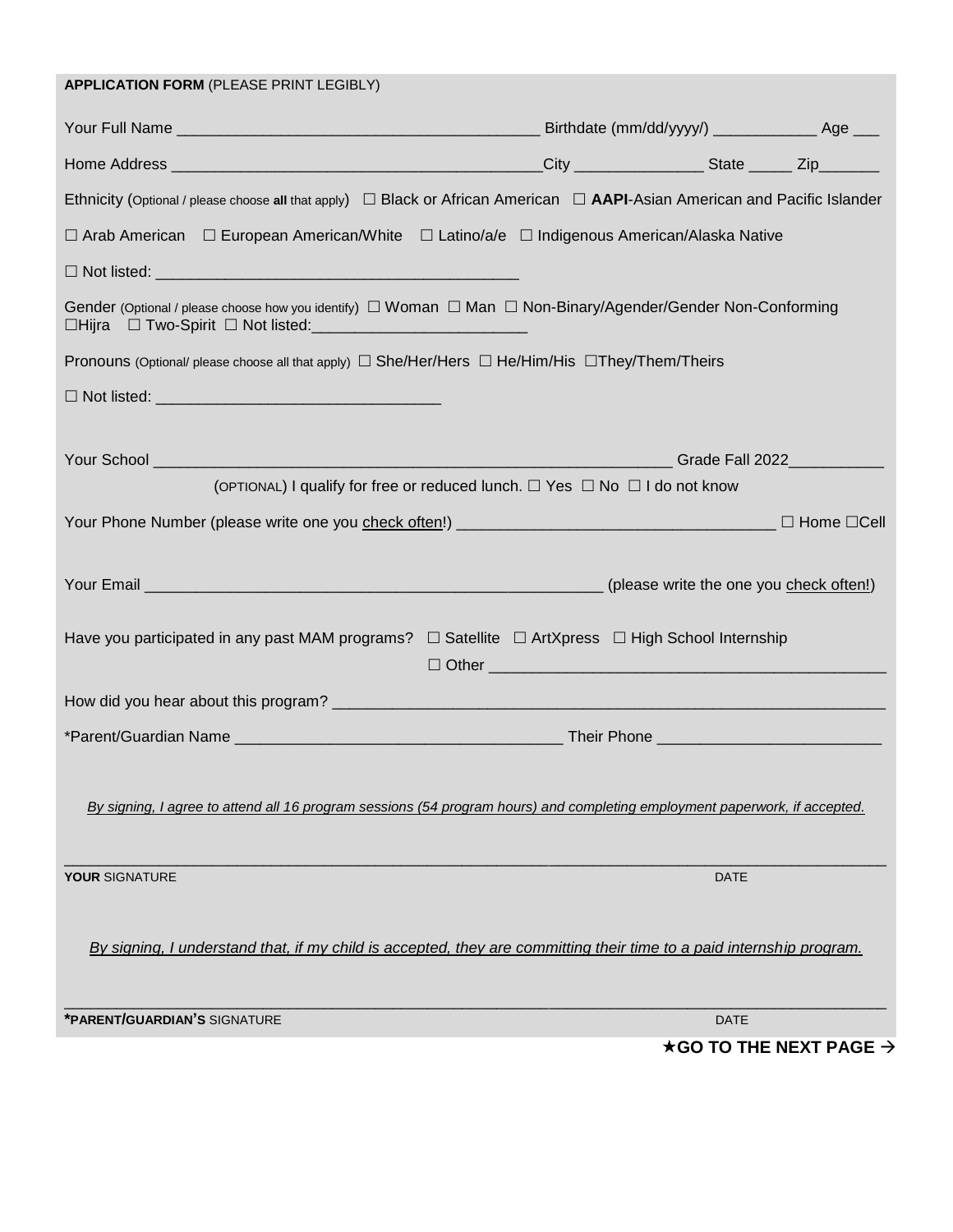| <b>APPLICATION FORM (PLEASE PRINT LEGIBLY)</b>                                                                                                                                                          |  |             |                                           |
|---------------------------------------------------------------------------------------------------------------------------------------------------------------------------------------------------------|--|-------------|-------------------------------------------|
|                                                                                                                                                                                                         |  |             |                                           |
|                                                                                                                                                                                                         |  |             |                                           |
| Ethnicity (Optional / please choose all that apply) $\Box$ Black or African American $\Box$ AAPI-Asian American and Pacific Islander                                                                    |  |             |                                           |
| □ Arab American □ European American/White □ Latino/a/e □ Indigenous American/Alaska Native                                                                                                              |  |             |                                           |
|                                                                                                                                                                                                         |  |             |                                           |
| Gender (Optional / please choose how you identify) $\Box$ Woman $\Box$ Man $\Box$ Non-Binary/Agender/Gender Non-Conforming<br>□Hijra □ Two-Spirit □ Not listed: <u>________________________________</u> |  |             |                                           |
| Pronouns (Optional/ please choose all that apply) $\Box$ She/Her/Hers $\Box$ He/Him/His $\Box$ They/Them/Theirs                                                                                         |  |             |                                           |
|                                                                                                                                                                                                         |  |             |                                           |
|                                                                                                                                                                                                         |  |             |                                           |
|                                                                                                                                                                                                         |  |             |                                           |
| (OPTIONAL) I qualify for free or reduced lunch. $\Box$ Yes $\Box$ No $\Box$ I do not know                                                                                                               |  |             |                                           |
|                                                                                                                                                                                                         |  |             |                                           |
|                                                                                                                                                                                                         |  |             |                                           |
| Have you participated in any past MAM programs? $\Box$ Satellite $\Box$ ArtXpress $\Box$ High School Internship                                                                                         |  |             |                                           |
|                                                                                                                                                                                                         |  |             |                                           |
|                                                                                                                                                                                                         |  |             |                                           |
| By signing, I agree to attend all 16 program sessions (54 program hours) and completing employment paperwork, if accepted.                                                                              |  |             |                                           |
| <b>YOUR SIGNATURE</b>                                                                                                                                                                                   |  | <b>DATE</b> |                                           |
| By signing, I understand that, if my child is accepted, they are committing their time to a paid internship program.                                                                                    |  |             |                                           |
| *PARENT/GUARDIAN'S SIGNATURE                                                                                                                                                                            |  | <b>DATE</b> |                                           |
|                                                                                                                                                                                                         |  |             | $\star$ GO TO THE NEXT PAGE $\rightarrow$ |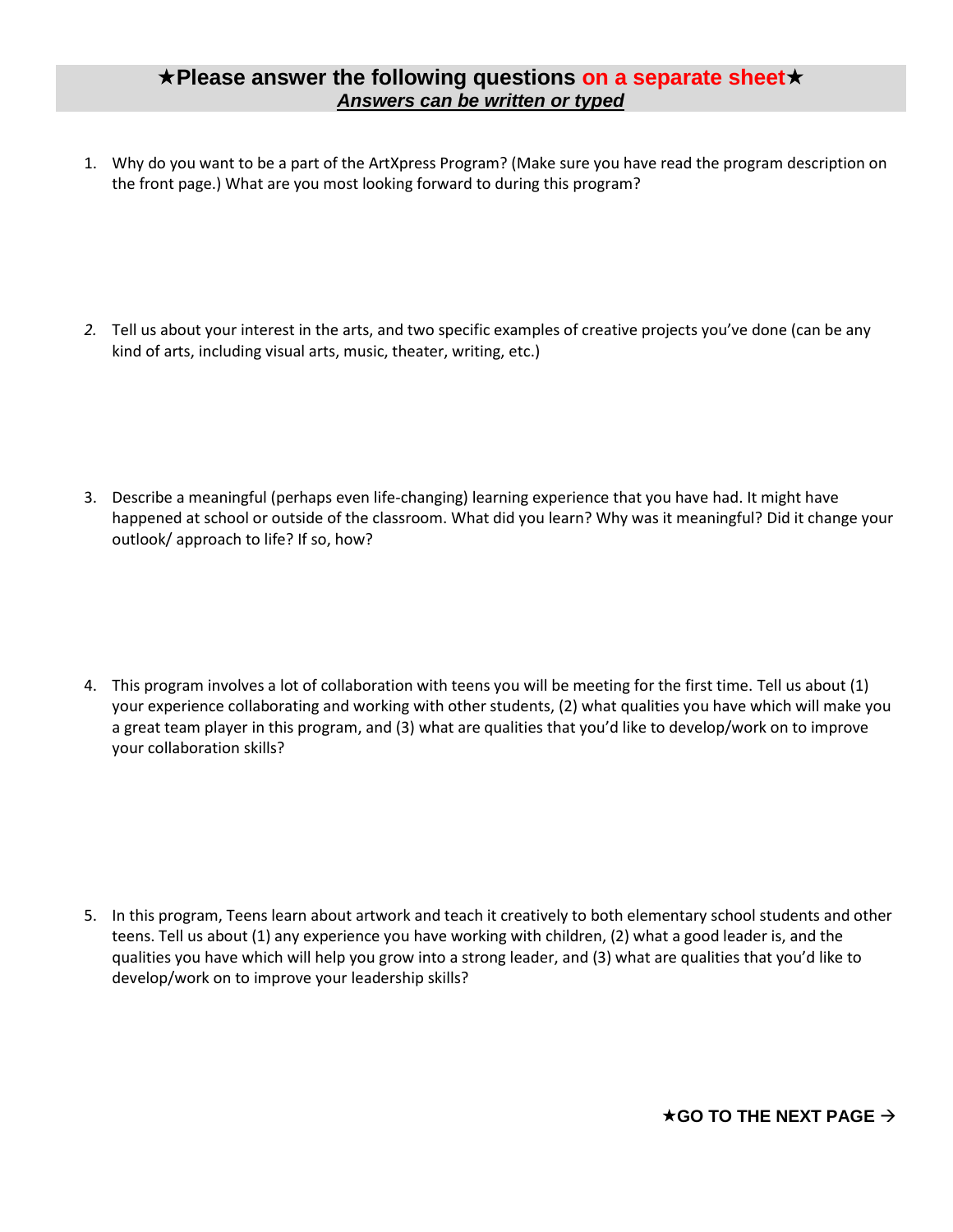### **Please answer the following questions on a separate sheet** *Answers can be written or typed*

1. Why do you want to be a part of the ArtXpress Program? (Make sure you have read the program description on the front page.) What are you most looking forward to during this program?

*2.* Tell us about your interest in the arts, and two specific examples of creative projects you've done (can be any kind of arts, including visual arts, music, theater, writing, etc.)

3. Describe a meaningful (perhaps even life-changing) learning experience that you have had. It might have happened at school or outside of the classroom. What did you learn? Why was it meaningful? Did it change your outlook/ approach to life? If so, how?

4. This program involves a lot of collaboration with teens you will be meeting for the first time. Tell us about (1) your experience collaborating and working with other students, (2) what qualities you have which will make you a great team player in this program, and (3) what are qualities that you'd like to develop/work on to improve your collaboration skills?

5. In this program, Teens learn about artwork and teach it creatively to both elementary school students and other teens. Tell us about (1) any experience you have working with children, (2) what a good leader is, and the qualities you have which will help you grow into a strong leader, and (3) what are qualities that you'd like to develop/work on to improve your leadership skills?